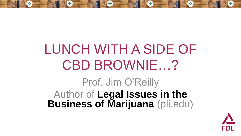#### LUNCH WITH A SIDE OF CBD BROWNIE…? Prof. Jim O'Reilly Author of **Legal Issues in the Business of Marijuana** (pli.edu)

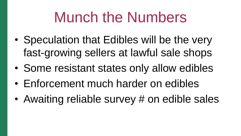### Munch the Numbers

- Speculation that Edibles will be the very fast-growing sellers at lawful sale shops
- Some resistant states only allow edibles
- Enforcement much harder on edibles
- Awaiting reliable survey # on edible sales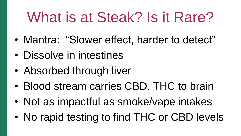# What is at Steak? Is it Rare?

- Mantra: "Slower effect, harder to detect"
- Dissolve in intestines
- Absorbed through liver
- Blood stream carries CBD, THC to brain
- Not as impactful as smoke/vape intakes
- No rapid testing to find THC or CBD levels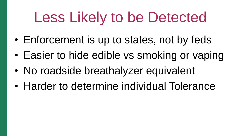# Less Likely to be Detected

- Enforcement is up to states, not by feds
- Easier to hide edible vs smoking or vaping
- No roadside breathalyzer equivalent
- Harder to determine individual Tolerance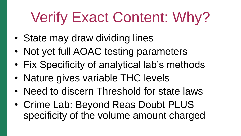# Verify Exact Content: Why?

- State may draw dividing lines
- Not yet full AOAC testing parameters
- Fix Specificity of analytical lab's methods
- Nature gives variable THC levels
- Need to discern Threshold for state laws
- Crime Lab: Beyond Reas Doubt PLUS specificity of the volume amount charged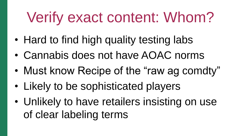# Verify exact content: Whom?

- Hard to find high quality testing labs
- Cannabis does not have AOAC norms
- Must know Recipe of the "raw ag comdty"
- Likely to be sophisticated players
- Unlikely to have retailers insisting on use of clear labeling terms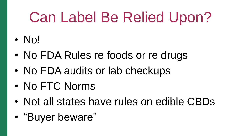# Can Label Be Relied Upon?

- No!
- No FDA Rules re foods or re drugs
- No FDA audits or lab checkups
- No FTC Norms
- Not all states have rules on edible CBDs
- "Buyer beware"